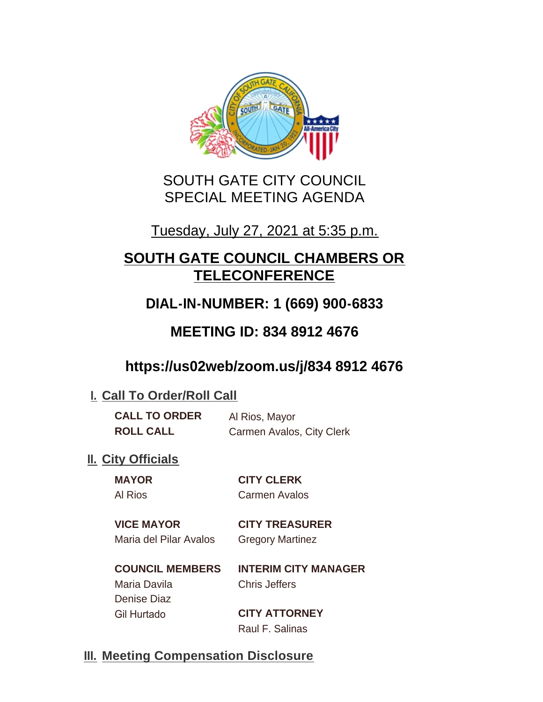

# SOUTH GATE CITY COUNCIL SPECIAL MEETING AGENDA

# Tuesday, July 27, 2021 at 5:35 p.m.

# **SOUTH GATE COUNCIL CHAMBERS OR TELECONFERENCE**

# **DIAL-IN-NUMBER: 1 (669) 900-6833**

# **MEETING ID: 834 8912 4676**

# **https://us02web/zoom.us/j/834 8912 4676**

## **I. Call To Order/Roll Call**

| <b>CALL TO ORDER</b> | Al Rios, Mayor            |
|----------------------|---------------------------|
| <b>ROLL CALL</b>     | Carmen Avalos, City Clerk |

## **II.** City Officials

#### **MAYOR CITY CLERK** Al Rios Carmen Avalos

**VICE MAYOR CITY TREASURER** Maria del Pilar Avalos Gregory Martinez

## **COUNCIL MEMBERS INTERIM CITY MANAGER** Maria Davila Chris Jeffers

Denise Diaz

Gil Hurtado **CITY ATTORNEY** Raul F. Salinas

## **Meeting Compensation Disclosure III.**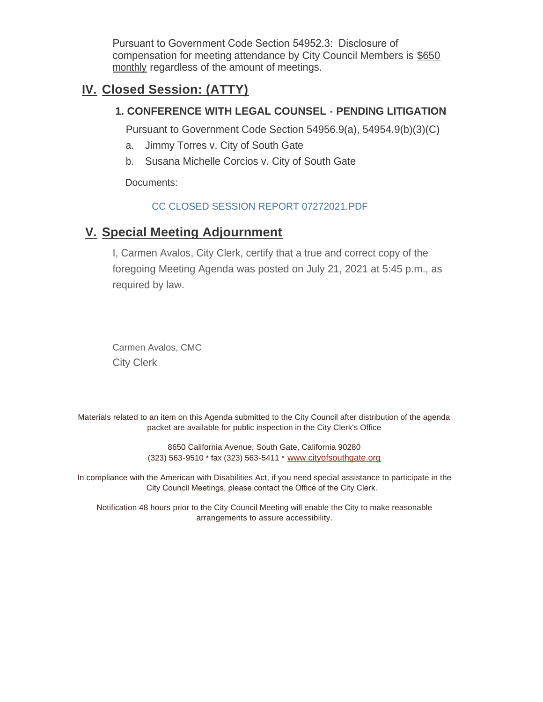Pursuant to Government Code Section 54952.3: Disclosure of compensation for meeting attendance by City Council Members is \$650 monthly regardless of the amount of meetings.

## **Closed Session: (ATTY) IV.**

### **1. CONFERENCE WITH LEGAL COUNSEL - PENDING LITIGATION**

Pursuant to Government Code Section 54956.9(a), 54954.9(b)(3)(C)

- a. Jimmy Torres v. City of South Gate
- b. Susana Michelle Corcios v. City of South Gate

Documents:

#### CC CLOSED SESSION REPORT 07272021.PDF

## **Special Meeting Adjournment V.**

I, Carmen Avalos, City Clerk, certify that a true and correct copy of the foregoing Meeting Agenda was posted on July 21, 2021 at 5:45 p.m., as required by law.

Carmen Avalos, CMC City Clerk

Materials related to an item on this Agenda submitted to the City Council after distribution of the agenda packet are available for public inspection in the City Clerk's Office

> 8650 California Avenue, South Gate, California 90280 (323) 563-9510 \* fax (323) 563-5411 \* [www.cityofsouthgate.org](http://www.cityofsouthgate.org/)

In compliance with the American with Disabilities Act, if you need special assistance to participate in the City Council Meetings, please contact the Office of the City Clerk.

Notification 48 hours prior to the City Council Meeting will enable the City to make reasonable arrangements to assure accessibility.